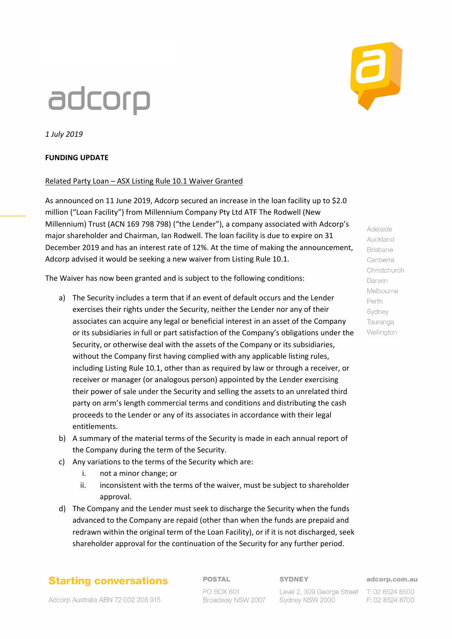# adcorp

*1 July 2019*

#### **FUNDING UPDATE**

#### Related Party Loan – ASX Listing Rule 10.1 Waiver Granted

As announced on 11 June 2019, Adcorp secured an increase in the loan facility up to \$2.0 million ("Loan Facility") from Millennium Company Pty Ltd ATF The Rodwell (New Millennium) Trust (ACN 169 798 798) ("the Lender"), a company associated with Adcorp's major shareholder and Chairman, Ian Rodwell. The loan facility is due to expire on 31 December 2019 and has an interest rate of 12%. At the time of making the announcement, Adcorp advised it would be seeking a new waiver from Listing Rule 10.1.

The Waiver has now been granted and is subject to the following conditions:

- a) The Security includes a term that if an event of default occurs and the Lender exercises their rights under the Security, neither the Lender nor any of their associates can acquire any legal or beneficial interest in an asset of the Company or its subsidiaries in full or part satisfaction of the Company's obligations under the Security, or otherwise deal with the assets of the Company or its subsidiaries, without the Company first having complied with any applicable listing rules, including Listing Rule 10.1, other than as required by law or through a receiver, or receiver or manager (or analogous person) appointed by the Lender exercising their power of sale under the Security and selling the assets to an unrelated third party on arm's length commercial terms and conditions and distributing the cash proceeds to the Lender or any of its associates in accordance with their legal entitlements.
- b) A summary of the material terms of the Security is made in each annual report of the Company during the term of the Security.
- c) Any variations to the terms of the Security which are:
	- i. not a minor change; or
	- ii. inconsistent with the terms of the waiver, must be subject to shareholder approval.
- d) The Company and the Lender must seek to discharge the Security when the funds advanced to the Company are repaid (other than when the funds are prepaid and redrawn within the original term of the Loan Facility), or if it is not discharged, seek shareholder approval for the continuation of the Security for any further period.

### **Starting conversations**

**POSTAL** 

#### **SYDNEY**

Level 2, 309 George Street T: 02 8524 8500

adcorp.com.au

F: 02 8524 8700

Auckland **Brisbane** Canberra Christchurch Darwin Melbourne Perth Sydney Tauranga Wellington

Adelaide

Adcorp Australia ABN 72 002 208 915

PO BOX 601 Broadway NSW 2007 Sydney NSW 2000